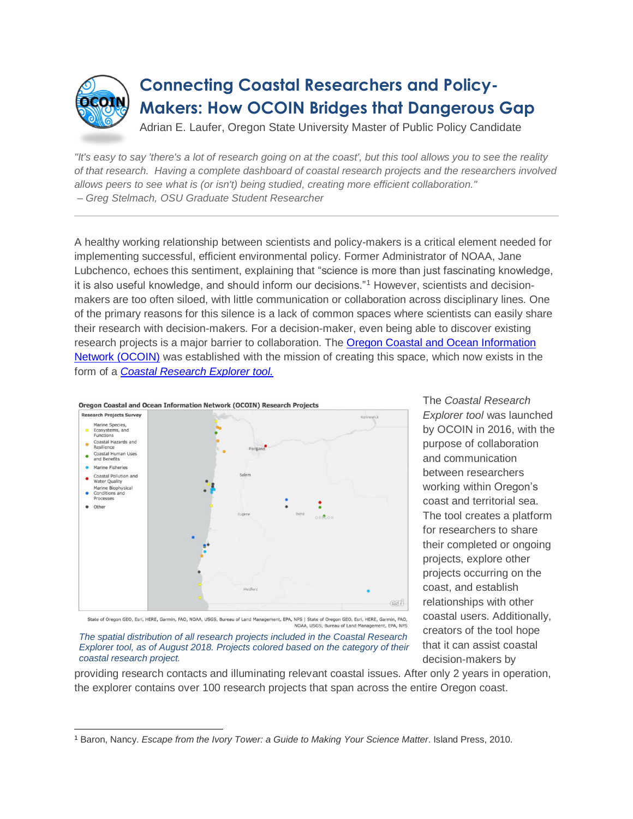

## **Connecting Coastal Researchers and Policy-Makers: How OCOIN Bridges that Dangerous Gap**

Adrian E. Laufer, Oregon State University Master of Public Policy Candidate

*"It's easy to say 'there's a lot of research going on at the coast', but this tool allows you to see the reality of that research. Having a complete dashboard of coastal research projects and the researchers involved allows peers to see what is (or isn't) being studied, creating more efficient collaboration." – Greg Stelmach, OSU Graduate Student Researcher*

A healthy working relationship between scientists and policy-makers is a critical element needed for implementing successful, efficient environmental policy. Former Administrator of NOAA, Jane Lubchenco, echoes this sentiment, explaining that "science is more than just fascinating knowledge, it is also useful knowledge, and should inform our decisions."<sup>1</sup> However, scientists and decisionmakers are too often siloed, with little communication or collaboration across disciplinary lines. One of the primary reasons for this silence is a lack of common spaces where scientists can easily share their research with decision-makers. For a decision-maker, even being able to discover existing research projects is a major barrier to collaboration. The [Oregon Coastal and Ocean Information](http://oregonexplorer.info/content/about-ocoin)  [Network \(OCOIN\)](http://oregonexplorer.info/content/about-ocoin) was established with the mission of creating this space, which now exists in the form of a *[Coastal Research Explorer tool.](http://oe.oregonexplorer.info/coastal_research/index.html?view=full)*



The *Coastal Research Explorer tool* was launched by OCOIN in 2016, with the purpose of collaboration and communication between researchers working within Oregon's coast and territorial sea. The tool creates a platform for researchers to share their completed or ongoing projects, explore other projects occurring on the coast, and establish relationships with other coastal users. Additionally, creators of the tool hope that it can assist coastal decision-makers by

State of Oregon GEO, Esri, HERE, Garmin, FAO, NOAA, USGS, Bureau of Land Management, EPA, NPS | State of Oregon GEO, Esri, HERE, Garmin, FAO, NOAA, USGS, Bureau of Land Management, EPA, NPS *The spatial distribution of all research projects included in the Coastal Research Explorer tool, as of August 2018. Projects colored based on the category of their* 

*coastal research project.*

providing research contacts and illuminating relevant coastal issues. After only 2 years in operation, the explorer contains over 100 research projects that span across the entire Oregon coast.

 <sup>1</sup> Baron, Nancy. *Escape from the Ivory Tower: a Guide to Making Your Science Matter*. Island Press, 2010.